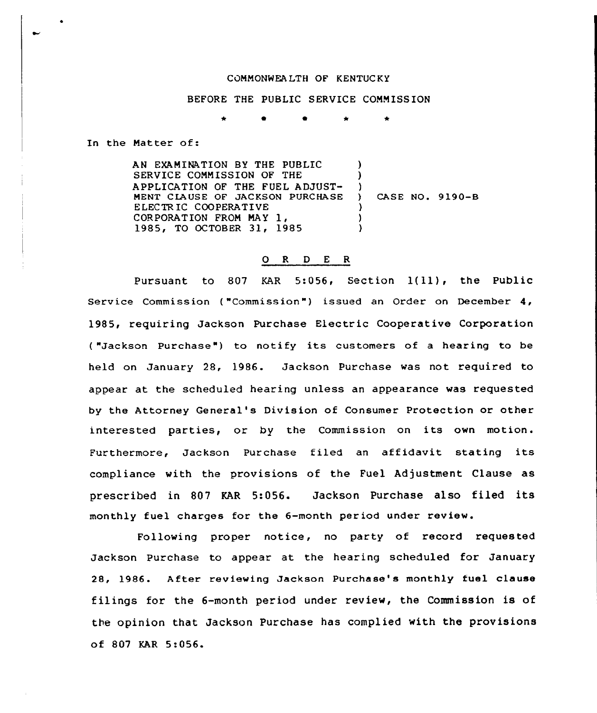## CQNNONWEA LTH OF KENTUC KY

## BEFORE THE PUBLIC SERVICE CONNISS ION

In the Natter of:

AN EXANINATION BY THE PUBLIC SERVICE CONNISSION OF THE APPLICATION OF THE FUEL ADJUST-MENT CLAUSE OF JACKSON PURCHASE E I.ECTR IC COOPERATIVE CORPORATION FRON NAY 1, 1985, TO OCTOBER 31, 1985 ) )  $\left\{ \begin{array}{c} 1 \\ 2 \end{array} \right\}$ CASE NO. 9190-B ) ) )

## 0 <sup>R</sup> <sup>D</sup> E <sup>R</sup>

Pursuant to <sup>807</sup> KAR 5:056, Section 1(11), the Public Service Commission ("Commission") issued an Order on December 4, 1985, requiring Jackson Purchase Electric Cooperative Corporation ("Jackson Purchase") to notify its customers of a hearing to be held on January 28, 1986. Jackson Purchase was not required to appear at the scheduled hearing unless an appearance was requested by the Attorney General's Division of Consumer Protection or other interested parties, or by the Commission on its own motion. Furthermore, Jackson Purchase filed an affidavit stating its compliance with the provisions of the Fuel Adjustment Clause as prescribed in 807 KAR 5:056. Jackson Purchase also filed its monthly fuel charges for the 6-month period under review.

Following proper notice, no party of record requested Jackson Purchase to appear at the hearing scheduled for January 28, 1986. After reviewing Jackson Purchase's monthly fuel clause filings for the 6-month period under review, the Commission is of the opinion that Jackson Purchase has complied with the provisions of 807 KAR 5:056.